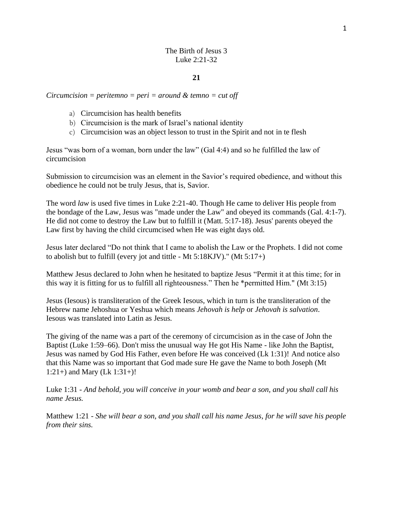## The Birth of Jesus 3 Luke 2:21-32

### **21**

### *Circumcision = peritemno = peri = around & temno = cut off*

- a) Circumcision has health benefits
- b) Circumcision is the mark of Israel's national identity
- c) Circumcision was an object lesson to trust in the Spirit and not in te flesh

Jesus "was born of a woman, born under the law" (Gal 4:4) and so he fulfilled the law of circumcision

Submission to circumcision was an element in the Savior's required obedience, and without this obedience he could not be truly Jesus, that is, Savior.

The word *law* is used five times in [Luke 2:21-40.](https://biblia.com/bible/nasb95/Luke%202.21-40) Though He came to deliver His people from the bondage of the Law, Jesus was "made under the Law" and obeyed its commands [\(Gal. 4:1-7\)](https://biblia.com/bible/nasb95/Gal.%204.1-7). He did not come to destroy the Law but to fulfill it [\(Matt. 5:17-18\)](https://biblia.com/bible/nasb95/Matt.%205.17-18). Jesus' parents obeyed the Law first by having the child circumcised when He was eight days old.

Jesus later declared "Do not think that I came to abolish the Law or the Prophets. I did not come to abolish but to fulfill (every jot and tittle - Mt 5:18KJV)." (Mt 5:1[7+\)](https://www.preceptaustin.org/matthew_517-20#5:17)

Matthew Jesus declared to John when he hesitated to baptize Jesus "Permit it at this time; for in this way it is fitting for us to fulfill all righteousness." Then he \*permitted Him." (Mt 3:15)

Jesus (Iesous) is transliteration of the Greek Iesous, which in turn is the transliteration of the Hebrew name Jehoshua or Yeshua which means *Jehovah is help* or *Jehovah is salvation*. Iesous was translated into Latin as Jesus*.* 

The giving of the name was a part of the ceremony of circumcision as in the case of John the Baptist (Luke 1:59–66). Don't miss the unusual way He got His Name - like John the Baptist, Jesus was named by God His Father, even before He was conceived (Lk 1:31)! And notice also that this Name was so important that God made sure He gave the Name to both Joseph (Mt 1:2[1+\)](https://www.preceptaustin.org/matthew-1-commentary#1:21) and Mary (Lk 1:3[1+\)](https://www.preceptaustin.org/luke-1-commentary#1:31)!

Luke 1:31 - *And behold, you will conceive in your womb and bear a son, and you shall call his name Jesus.*

Matthew 1:21 *- She will bear a son, and you shall call his name Jesus, for he will save his people from their sins.*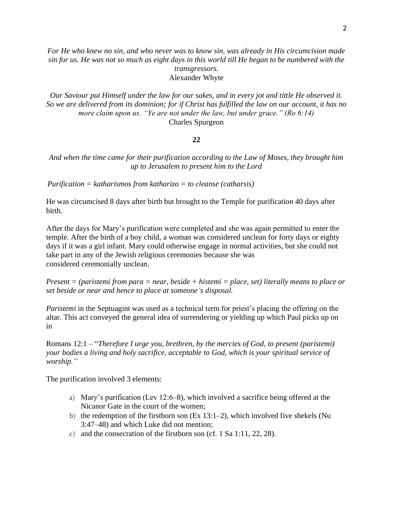*For He who knew no sin, and who never was to know sin, was already in His circumcision made sin for us. He was not so much as eight days in this world till He began to be numbered with the transgressors.*

Alexander Whyte

*Our Saviour put Himself under the law for our sakes, and in every jot and tittle He observed it. So we are delivered from its dominion; for if Christ has fulfilled the law on our account, it has no more claim upon us. "Ye are not under the law, but under grace." (Ro 6:14)* Charles Spurgeon

### **22**

*And when the time came for their purification according to the Law of Moses, they brought him up to Jerusalem to present him to the Lord*

*Purification = katharismos from katharizo = to cleanse (catharsis)* 

He was circumcised 8 days after birth but brought to the Temple for purification 40 days after birth.

After the days for Mary's purification were completed and she was again permitted to enter the temple. After the birth of a boy child, a woman was considered unclean for forty days or eighty days if it was a girl infant. Mary could otherwise engage in normal activities, but she could not take part in any of the Jewish religious ceremonies because she was considered ceremonially unclean.

*Present = (paristemi from para = near, beside + histemi = place, set) literally means to place or set beside or near and hence to place at someone's disposal.*

*Paristemi* in the Septuagint was used as a technical term for priest's placing the offering on the altar. This act conveyed the general idea of surrendering or yielding up which Paul picks up on in

Romans 12:1 – "*Therefore I urge you, brethren, by the mercies of God, to present (paristemi) your bodies a living and holy sacrifice, acceptable to God, which is your spiritual service of worship."*

The purification involved 3 elements:

- a) Mary's purification (Lev 12:6–8), which involved a sacrifice being offered at the Nicanor Gate in the court of the women;
- b) the redemption of the firstborn son (Ex 13:1–2), which involved five shekels (Nu 3:47–48) and which Luke did not mention;
- c) and the consecration of the firstborn son (cf. 1 Sa 1:11, 22, 28).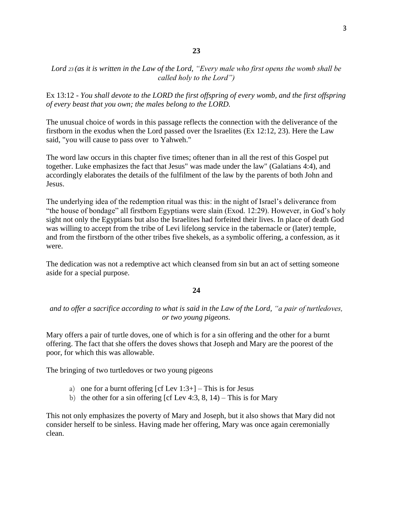## *Lord <sup>23</sup> (as it is written in the Law of the Lord, "Every male who first opens the womb shall be called holy to the Lord")*

Ex 13:12 - *You shall devote to the LORD the first offspring of every womb, and the first offspring of every beast that you own; the males belong to the LORD.*

The unusual choice of words in this passage reflects the connection with the deliverance of the firstborn in the exodus when the Lord passed over the Israelites (Ex 12:12, 23). Here the Law said, "you will cause to pass over to Yahweh."

The word law occurs in this chapter five times; oftener than in all the rest of this Gospel put together. Luke emphasizes the fact that Jesus" was made under the law" (Galatians 4:4), and accordingly elaborates the details of the fulfilment of the law by the parents of both John and Jesus.

The underlying idea of the redemption ritual was this: in the night of Israel's deliverance from "the house of bondage" all firstborn Egyptians were slain (Exod. 12:29). However, in God's holy sight not only the Egyptians but also the Israelites had forfeited their lives. In place of death God was willing to accept from the tribe of Levi lifelong service in the tabernacle or (later) temple, and from the firstborn of the other tribes five shekels, as a symbolic offering, a confession, as it were.

The dedication was not a redemptive act which cleansed from sin but an act of setting someone aside for a special purpose.

### **24**

*and to offer a sacrifice according to what is said in the Law of the Lord, "a pair of turtledoves, or two young pigeons.*

Mary offers a pair of turtle doves, one of which is for a sin offering and the other for a burnt offering. The fact that she offers the doves shows that Joseph and Mary are the poorest of the poor, for which this was allowable.

The bringing of two turtledoves or two young pigeons

- a) one for a burnt offering  $[cf Lev 1:3+]$  $[cf Lev 1:3+]$  This is for Jesus
- b) the other for a sin offering [cf Lev 4:3, [8,](https://biblia.com/bible/nasb95/Lev%204.8) [14\)](https://biblia.com/bible/nasb95/Lev%204.14) This is for Mary

This not only emphasizes the poverty of Mary and Joseph, but it also shows that Mary did not consider herself to be sinless. Having made her offering, Mary was once again ceremonially clean.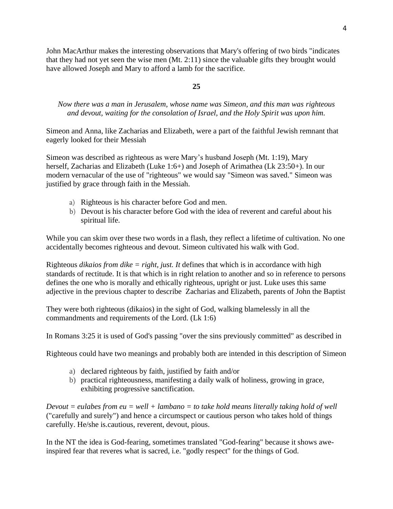John MacArthur makes the interesting observations that Mary's offering of two birds "indicates that they had not yet seen the wise men (Mt. 2:11) since the valuable gifts they brought would have allowed Joseph and Mary to afford a lamb for the sacrifice.

## **25**

# *Now there was a man in Jerusalem, whose name was Simeon, and this man was righteous and devout, waiting for the consolation of Israel, and the Holy Spirit was upon him.*

Simeon and Anna, like Zacharias and Elizabeth, were a part of the faithful Jewish remnant that eagerly looked for their Messiah

Simeon was described as righteous as were Mary's husband Joseph [\(Mt. 1:19\)](https://biblia.com/bible/nasb95/Matt.%201.19), Mary herself, Zacharias and Elizabeth (Luke 1:[6+\)](https://www.preceptaustin.org/luke-1-commentary#1:6) and Joseph of Arimathea (Lk 23:5[0+\)](https://www.preceptaustin.org/luke-23-commentary#23:50). In our modern vernacular of the use of "righteous" we would say "Simeon was saved." Simeon was justified by grace through faith in the Messiah.

- a) Righteous is his character before God and men.
- b) Devout is his character before God with the idea of reverent and careful about his spiritual life.

While you can skim over these two words in a flash, they reflect a lifetime of cultivation. No one accidentally becomes righteous and devout. Simeon cultivated his walk with God.

Righteous *[dikaios](http://www.preceptaustin.org/titus_17-8#just) from dike = right, just. It* defines that which is in accordance with high standards of rectitude. It is that which is in right relation to another and so in reference to persons defines the one who is morally and ethically righteous, upright or just. Luke uses this same adjective in the previous chapter to describe Zacharias and Elizabeth, parents of John the Baptist

They were both righteous (dikaios) in the sight of God, walking blamelessly in all the commandments and requirements of the Lord. [\(Lk 1:6\)](https://biblia.com/bible/nasb95/Luke%201.6)

In Romans 3:25 it is used of God's passing "over the sins previously committed" as described in

Righteous could have two meanings and probably both are intended in this description of Simeon

- a) declared righteous by faith, justified by faith and/or
- b) practical righteousness, manifesting a daily walk of holiness, growing in grace, exhibiting progressive sanctification.

*Devout = eulabes from eu = well + lambano = to take hold means literally taking hold of well*  ("carefully and surely") and hence a circumspect or cautious person who takes hold of things carefully. He/she is.cautious, reverent, devout, pious.

In the NT the idea is God-fearing, sometimes translated "God-fearing" because it shows aweinspired fear that reveres what is sacred, i.e. "godly respect" for the things of God.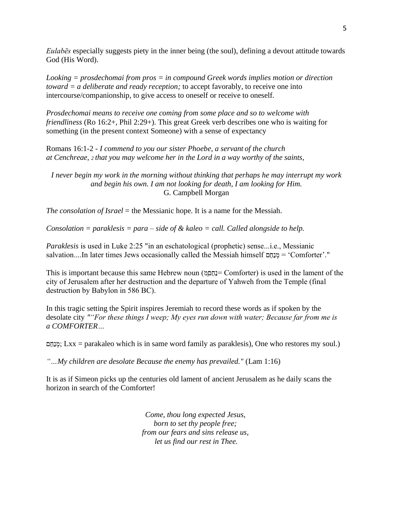*Eulabēs* especially suggests piety in the inner being (the soul), defining a devout attitude towards God (His Word).

*Looking = prosdechomai from pros = in compound Greek words implies motion or direction toward = a deliberate and ready reception;* to accept favorably, to receive one into intercourse/companionship, to give access to oneself or receive to oneself.

*Prosdechomai means to receive one coming from some place and so to welcome with friendliness* (Ro 16:[2+,](http://www.preceptaustin.org/romans_16_word_studies#16:2) Phil 2:2[9+\)](https://www.preceptaustin.org/philippians_228-30#2:29). This great Greek verb describes one who is waiting for something (in the present context Someone) with a sense of expectancy

Romans 16:1-2 - *I commend to you our sister Phoebe, a servant of the church at Cenchreae, <sup>2</sup> that you may welcome her in the Lord in a way worthy of the saints,*

*I never begin my work in the morning without thinking that perhaps he may interrupt my work and begin his own. I am not looking for death, I am looking for Him.* G. Campbell Morgan

*The consolation of Israel* = the Messianic hope. It is a name for the Messiah.

*Consolation = paraklesis = para – side of & kaleo = call. Called alongside to help.*

*Paraklesis* is used in Luke 2:25 "in an eschatological (prophetic) sense...i.e., Messianic salvation....In later times Jews occasionally called the Messiah himself  $\alpha$ ם = 'Comforter'."

This is important because this same Hebrew noun (מְםֵחַנ =Comforter) is used in the lament of the city of Jerusalem after her destruction and the departure of Yahweh from the Temple (final destruction by Babylon in 586 BC).

In this tragic setting the Spirit inspires Jeremiah to record these words as if spoken by the desolate city *""For these things I weep; My eyes run down with water; Because far from me is a COMFORTER…*

מֵנְחֵם; [Lxx](http://www.preceptaustin.org/greek_to_me#sept) = parakaleo which is in same word family as paraklesis), One who restores my soul.)

*"…My children are desolate Because the enemy has prevailed."* [\(Lam 1:16\)](https://biblia.com/bible/nasb95/Lam%201.16)

It is as if Simeon picks up the centuries old lament of ancient Jerusalem as he daily scans the horizon in search of the Comforter!

> *Come, thou long expected Jesus, born to set thy people free; from our fears and sins release us, let us find our rest in Thee.*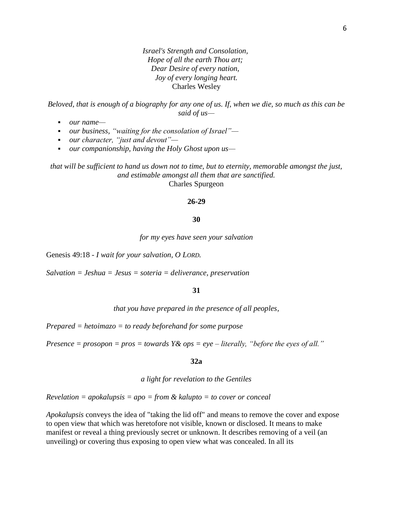*Israel's Strength and Consolation, Hope of all the earth Thou art; Dear Desire of every nation, Joy of every longing heart.* Charles Wesley

*Beloved, that is enough of a biography for any one of us. If, when we die, so much as this can be said of us—*

- *our name—*
- *our business, "waiting for the consolation of Israel"*—
- *our character, "just and devout"—*
- *our companionship, having the Holy Ghost upon us—*

*that will be sufficient to hand us down not to time, but to eternity, memorable amongst the just, and estimable amongst all them that are sanctified.* Charles Spurgeon

### **26-29**

### **30**

*for my eyes have seen your salvation*

Genesis 49:18 - *I wait for your salvation, O LORD.*

*Salvation = Jeshua = Jesus = soteria = deliverance, preservation*

#### **31**

*that you have prepared in the presence of all peoples,*

*Prepared = hetoimazo = to ready beforehand for some purpose*

*Presence = prosopon = pros = towards Y& ops = eye – literally, "before the eyes of all."*

### **32a**

*a light for revelation to the Gentiles*

*Revelation = apokalupsis = apo = from & kalupto = to cover or conceal*

*Apokalupsis* conveys the idea of "taking the lid off" and means to remove the cover and expose to open view that which was heretofore not visible, known or disclosed. It means to make manifest or reveal a thing previously secret or unknown. It describes removing of a veil (an unveiling) or covering thus exposing to open view what was concealed. In all its